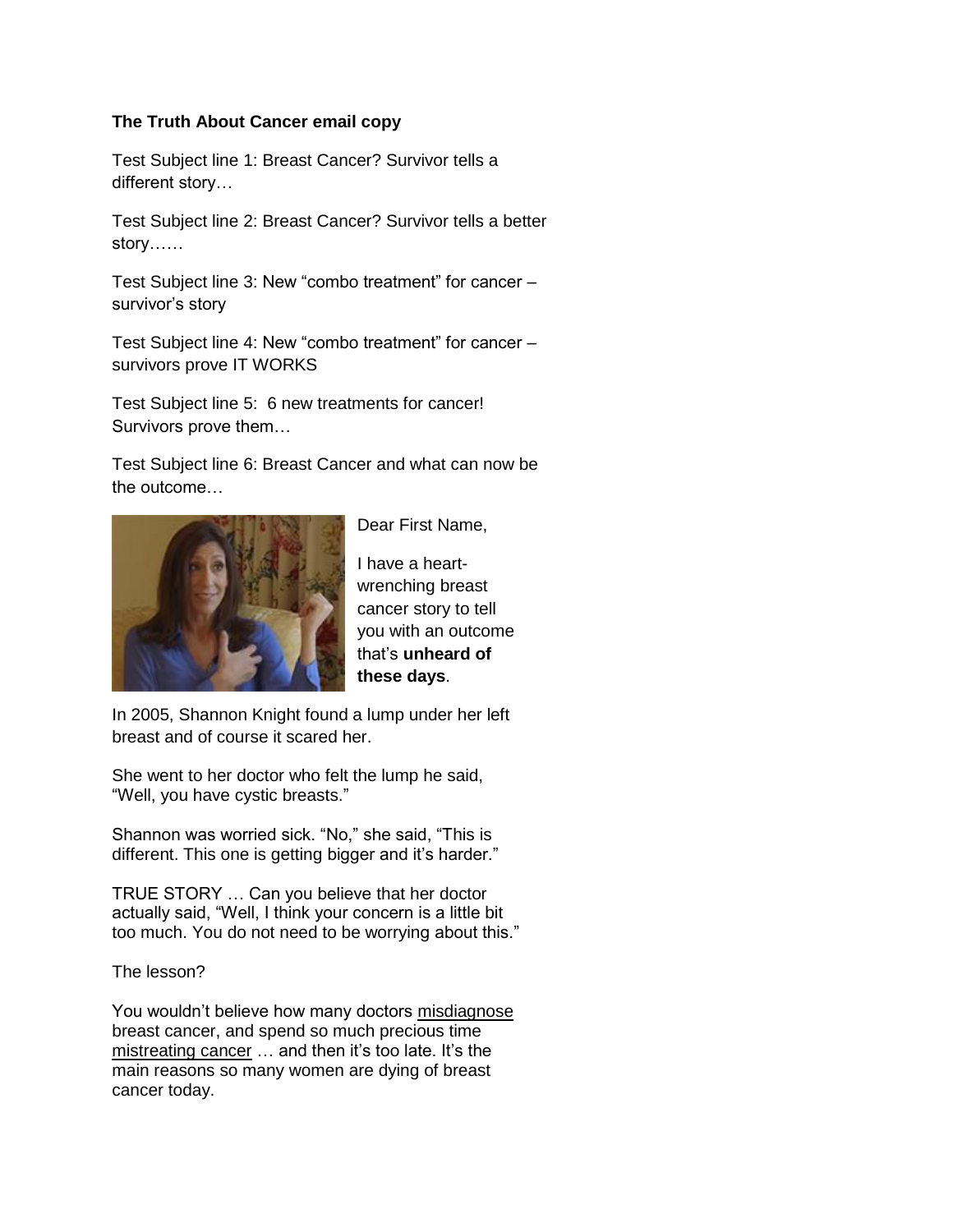## **The Truth About Cancer email copy**

Test Subject line 1: Breast Cancer? Survivor tells a different story…

Test Subject line 2: Breast Cancer? Survivor tells a better story……

Test Subject line 3: New "combo treatment" for cancer – survivor's story

Test Subject line 4: New "combo treatment" for cancer – survivors prove IT WORKS

Test Subject line 5: 6 new treatments for cancer! Survivors prove them…

Test Subject line 6: Breast Cancer and what can now be the outcome…



Dear First Name,

I have a heartwrenching breast cancer story to tell you with an outcome that's **unheard of these days**.

In 2005, Shannon Knight found a lump under her left breast and of course it scared her.

She went to her doctor who felt the lump he said, "Well, you have cystic breasts."

Shannon was worried sick. "No," she said, "This is different. This one is getting bigger and it's harder."

TRUE STORY … Can you believe that her doctor actually said, "Well, I think your concern is a little bit too much. You do not need to be worrying about this."

The lesson?

You wouldn't believe how many doctors misdiagnose breast cancer, and spend so much precious time mistreating cancer … and then it's too late. It's the main reasons so many women are dying of breast cancer today.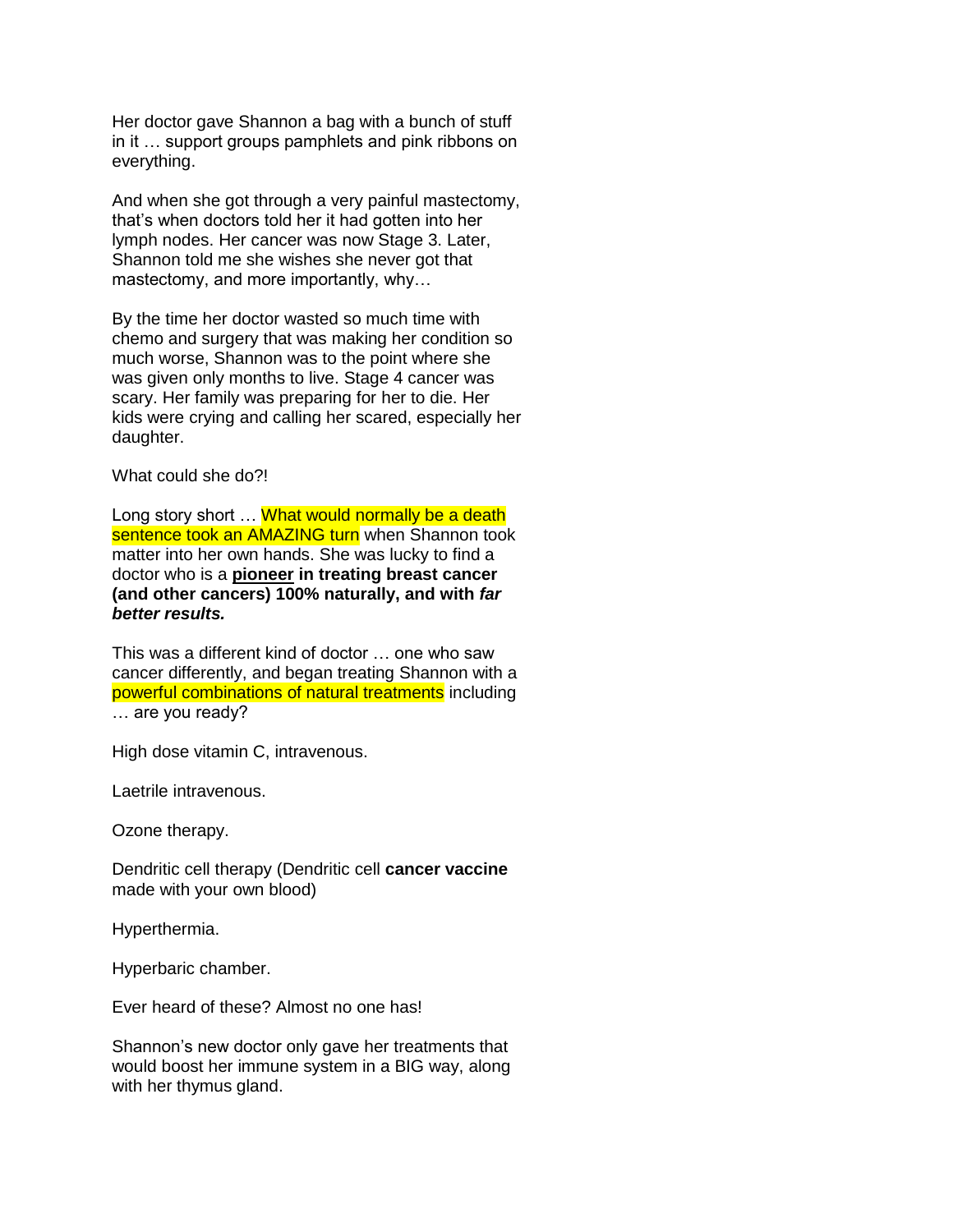Her doctor gave Shannon a bag with a bunch of stuff in it … support groups pamphlets and pink ribbons on everything.

And when she got through a very painful mastectomy, that's when doctors told her it had gotten into her lymph nodes. Her cancer was now Stage 3. Later, Shannon told me she wishes she never got that mastectomy, and more importantly, why…

By the time her doctor wasted so much time with chemo and surgery that was making her condition so much worse, Shannon was to the point where she was given only months to live. Stage 4 cancer was scary. Her family was preparing for her to die. Her kids were crying and calling her scared, especially her daughter.

What could she do?!

Long story short ... What would normally be a death sentence took an AMAZING turn when Shannon took matter into her own hands. She was lucky to find a doctor who is a **pioneer in treating breast cancer (and other cancers) 100% naturally, and with** *far better results.*

This was a different kind of doctor … one who saw cancer differently, and began treating Shannon with a powerful combinations of natural treatments including … are you ready?

High dose vitamin C, intravenous.

Laetrile intravenous.

Ozone therapy.

Dendritic cell therapy (Dendritic cell **cancer vaccine** made with your own blood)

Hyperthermia.

Hyperbaric chamber.

Ever heard of these? Almost no one has!

Shannon's new doctor only gave her treatments that would boost her immune system in a BIG way, along with her thymus gland.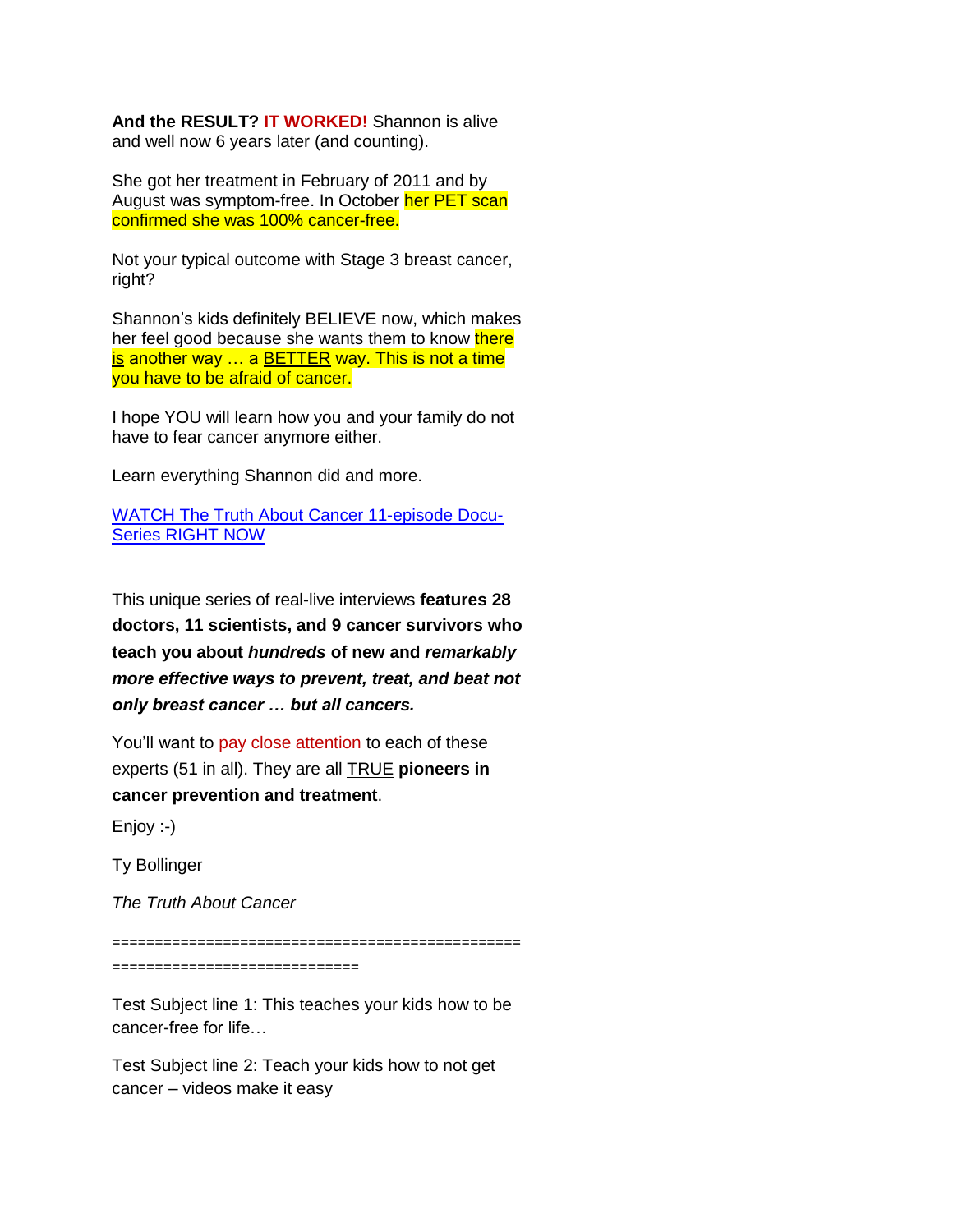**And the RESULT? IT WORKED!** Shannon is alive and well now 6 years later (and counting).

She got her treatment in February of 2011 and by August was symptom-free. In October her PET scan confirmed she was 100% cancer-free.

Not your typical outcome with Stage 3 breast cancer, right?

Shannon's kids definitely BELIEVE now, which makes her feel good because she wants them to know there is another way  $\ldots$  a BETTER way. This is not a time you have to be afraid of cancer.

I hope YOU will learn how you and your family do not have to fear cancer anymore either.

Learn everything Shannon did and more.

WATCH The Truth About Cancer 11-episode Docu-Series RIGHT NOW

This unique series of real-live interviews **features 28 doctors, 11 scientists, and 9 cancer survivors who teach you about** *hundreds* **of new and** *remarkably more effective ways to prevent, treat, and beat not only breast cancer … but all cancers.*

You'll want to pay close attention to each of these experts (51 in all). They are all TRUE **pioneers in cancer prevention and treatment**.

Enjoy :-)

Ty Bollinger

*The Truth About Cancer*

================================================

=============================

Test Subject line 1: This teaches your kids how to be cancer-free for life…

Test Subject line 2: Teach your kids how to not get cancer – videos make it easy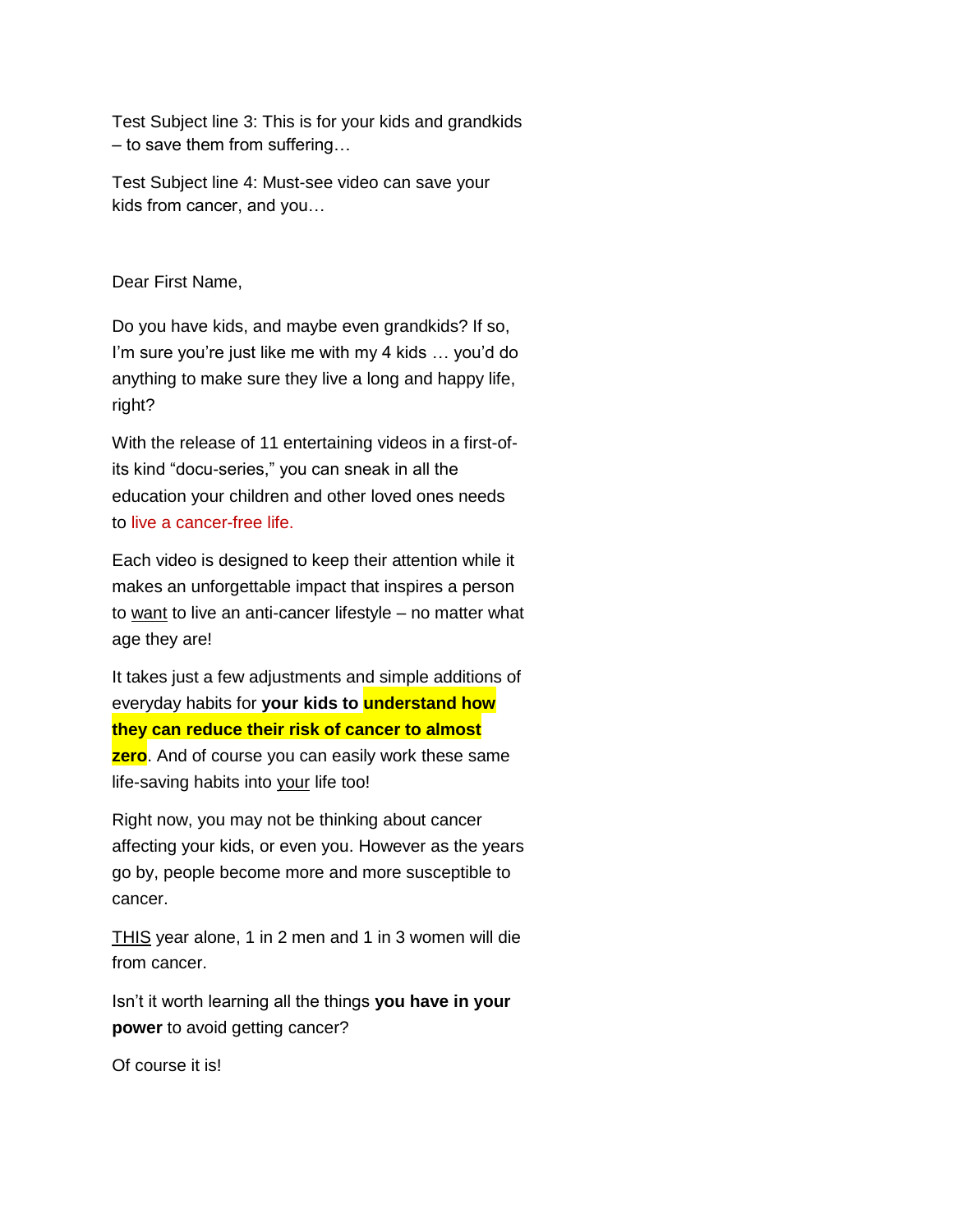Test Subject line 3: This is for your kids and grandkids – to save them from suffering…

Test Subject line 4: Must-see video can save your kids from cancer, and you…

Dear First Name,

Do you have kids, and maybe even grandkids? If so, I'm sure you're just like me with my 4 kids … you'd do anything to make sure they live a long and happy life, right?

With the release of 11 entertaining videos in a first-ofits kind "docu-series," you can sneak in all the education your children and other loved ones needs to live a cancer-free life.

Each video is designed to keep their attention while it makes an unforgettable impact that inspires a person to want to live an anti-cancer lifestyle – no matter what age they are!

It takes just a few adjustments and simple additions of everyday habits for **your kids to understand how they can reduce their risk of cancer to almost zero**. And of course you can easily work these same

life-saving habits into your life too!

Right now, you may not be thinking about cancer affecting your kids, or even you. However as the years go by, people become more and more susceptible to cancer.

THIS year alone, 1 in 2 men and 1 in 3 women will die from cancer.

Isn't it worth learning all the things **you have in your power** to avoid getting cancer?

Of course it is!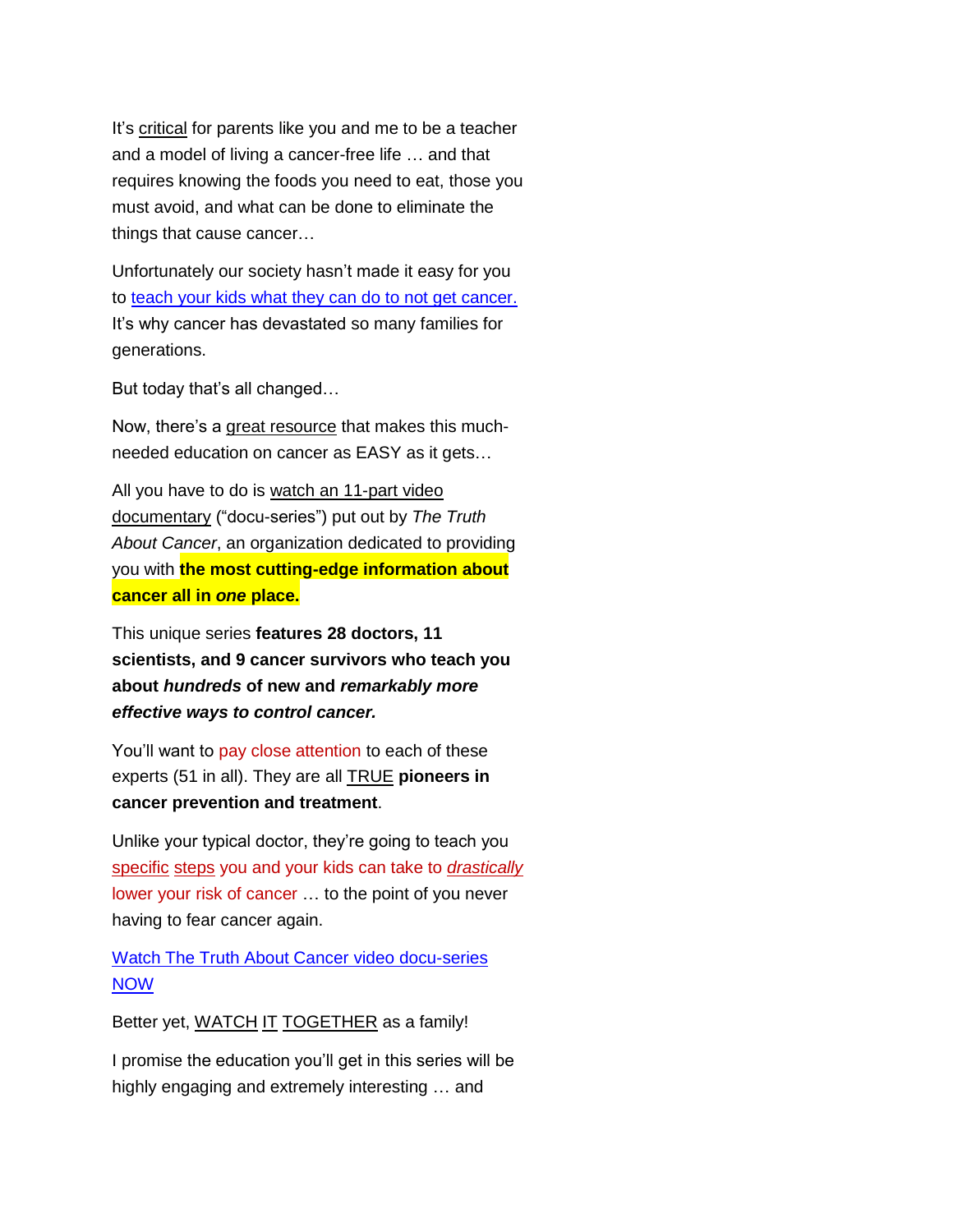It's critical for parents like you and me to be a teacher and a model of living a cancer-free life … and that requires knowing the foods you need to eat, those you must avoid, and what can be done to eliminate the things that cause cancer…

Unfortunately our society hasn't made it easy for you to teach your kids what they can do to not get cancer. It's why cancer has devastated so many families for generations.

But today that's all changed…

Now, there's a great resource that makes this muchneeded education on cancer as EASY as it gets…

All you have to do is watch an 11-part video documentary ("docu-series") put out by *The Truth About Cancer*, an organization dedicated to providing you with **the most cutting-edge information about cancer all in** *one* **place.**

This unique series **features 28 doctors, 11 scientists, and 9 cancer survivors who teach you about** *hundreds* **of new and** *remarkably more effective ways to control cancer.*

You'll want to pay close attention to each of these experts (51 in all). They are all TRUE **pioneers in cancer prevention and treatment**.

Unlike your typical doctor, they're going to teach you specific steps you and your kids can take to *drastically* lower your risk of cancer … to the point of you never having to fear cancer again.

Watch The Truth About Cancer video docu-series NOW

Better yet, WATCH IT TOGETHER as a family!

I promise the education you'll get in this series will be highly engaging and extremely interesting … and